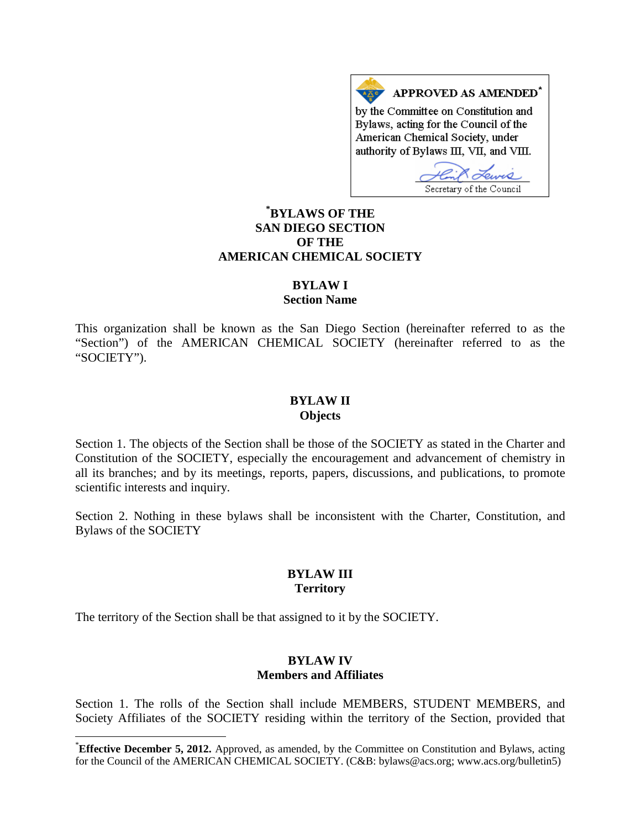APPROVED AS AMENDED\* by the Committee on Constitution and Bylaws, acting for the Council of the American Chemical Society, under authority of Bylaws III, VII, and VIII.

Secretary of the Council

# **[\\*](#page-0-0) BYLAWS OF THE SAN DIEGO SECTION OF THE AMERICAN CHEMICAL SOCIETY**

### **BYLAW I**

#### **Section Name**

This organization shall be known as the San Diego Section (hereinafter referred to as the "Section") of the AMERICAN CHEMICAL SOCIETY (hereinafter referred to as the "SOCIETY").

#### **BYLAW II Objects**

Section 1. The objects of the Section shall be those of the SOCIETY as stated in the Charter and Constitution of the SOCIETY, especially the encouragement and advancement of chemistry in all its branches; and by its meetings, reports, papers, discussions, and publications, to promote scientific interests and inquiry.

Section 2. Nothing in these bylaws shall be inconsistent with the Charter, Constitution, and Bylaws of the SOCIETY

#### **BYLAW III Territory**

The territory of the Section shall be that assigned to it by the SOCIETY.

#### **BYLAW IV Members and Affiliates**

Section 1. The rolls of the Section shall include MEMBERS, STUDENT MEMBERS, and Society Affiliates of the SOCIETY residing within the territory of the Section, provided that

<span id="page-0-0"></span> <sup>\*</sup> **Effective December 5, 2012.** Approved, as amended, by the Committee on Constitution and Bylaws, acting for the Council of the AMERICAN CHEMICAL SOCIETY. (C&B: bylaws@acs.org; www.acs.org/bulletin5)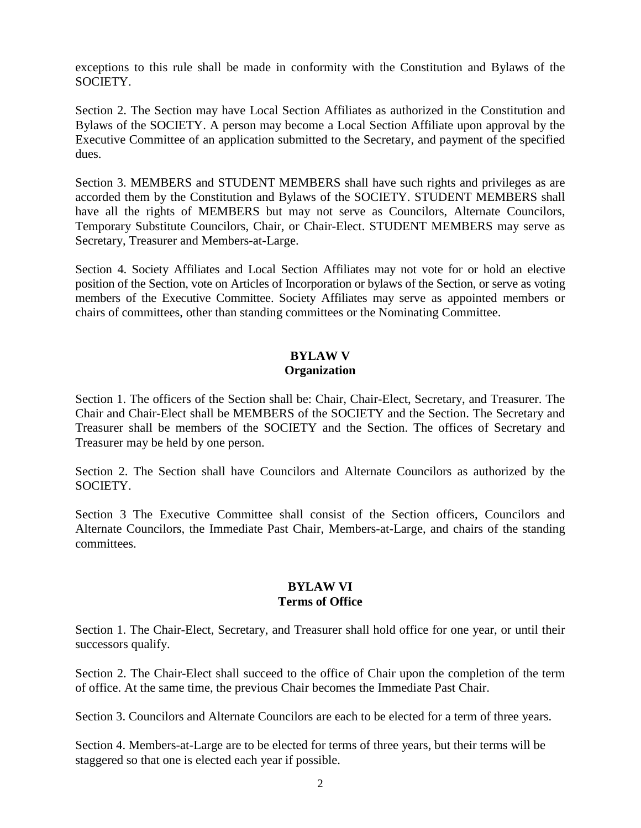exceptions to this rule shall be made in conformity with the Constitution and Bylaws of the SOCIETY.

Section 2. The Section may have Local Section Affiliates as authorized in the Constitution and Bylaws of the SOCIETY. A person may become a Local Section Affiliate upon approval by the Executive Committee of an application submitted to the Secretary, and payment of the specified dues.

Section 3. MEMBERS and STUDENT MEMBERS shall have such rights and privileges as are accorded them by the Constitution and Bylaws of the SOCIETY. STUDENT MEMBERS shall have all the rights of MEMBERS but may not serve as Councilors, Alternate Councilors, Temporary Substitute Councilors, Chair, or Chair-Elect. STUDENT MEMBERS may serve as Secretary, Treasurer and Members-at-Large.

Section 4. Society Affiliates and Local Section Affiliates may not vote for or hold an elective position of the Section, vote on Articles of Incorporation or bylaws of the Section, or serve as voting members of the Executive Committee. Society Affiliates may serve as appointed members or chairs of committees, other than standing committees or the Nominating Committee.

# **BYLAW V Organization**

Section 1. The officers of the Section shall be: Chair, Chair-Elect, Secretary, and Treasurer. The Chair and Chair-Elect shall be MEMBERS of the SOCIETY and the Section. The Secretary and Treasurer shall be members of the SOCIETY and the Section. The offices of Secretary and Treasurer may be held by one person.

Section 2. The Section shall have Councilors and Alternate Councilors as authorized by the SOCIETY.

Section 3 The Executive Committee shall consist of the Section officers, Councilors and Alternate Councilors, the Immediate Past Chair, Members-at-Large, and chairs of the standing committees.

### **BYLAW VI Terms of Office**

Section 1. The Chair-Elect, Secretary, and Treasurer shall hold office for one year, or until their successors qualify.

Section 2. The Chair-Elect shall succeed to the office of Chair upon the completion of the term of office. At the same time, the previous Chair becomes the Immediate Past Chair.

Section 3. Councilors and Alternate Councilors are each to be elected for a term of three years.

Section 4. Members-at-Large are to be elected for terms of three years, but their terms will be staggered so that one is elected each year if possible.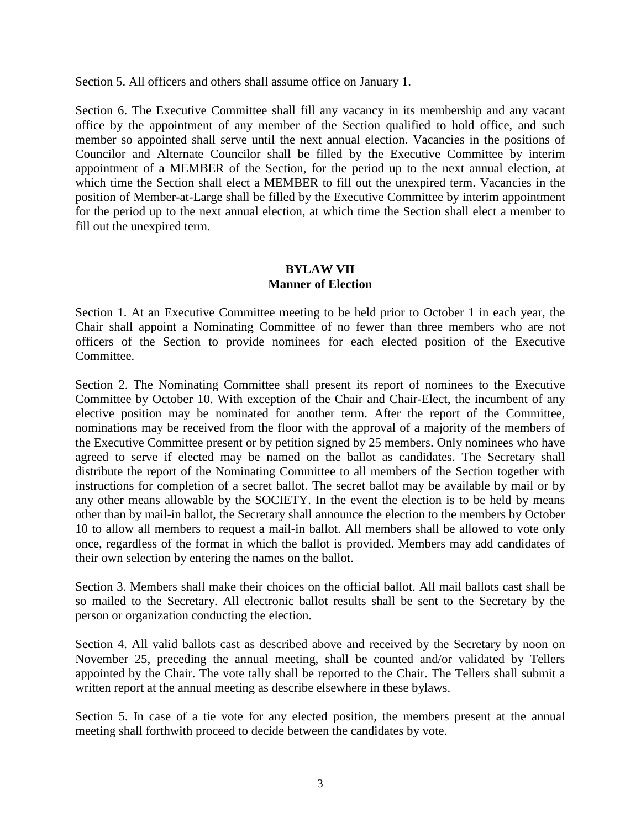Section 5. All officers and others shall assume office on January 1.

Section 6. The Executive Committee shall fill any vacancy in its membership and any vacant office by the appointment of any member of the Section qualified to hold office, and such member so appointed shall serve until the next annual election. Vacancies in the positions of Councilor and Alternate Councilor shall be filled by the Executive Committee by interim appointment of a MEMBER of the Section, for the period up to the next annual election, at which time the Section shall elect a MEMBER to fill out the unexpired term. Vacancies in the position of Member-at-Large shall be filled by the Executive Committee by interim appointment for the period up to the next annual election, at which time the Section shall elect a member to fill out the unexpired term.

# **BYLAW VII Manner of Election**

Section 1. At an Executive Committee meeting to be held prior to October 1 in each year, the Chair shall appoint a Nominating Committee of no fewer than three members who are not officers of the Section to provide nominees for each elected position of the Executive Committee.

Section 2. The Nominating Committee shall present its report of nominees to the Executive Committee by October 10. With exception of the Chair and Chair-Elect, the incumbent of any elective position may be nominated for another term. After the report of the Committee, nominations may be received from the floor with the approval of a majority of the members of the Executive Committee present or by petition signed by 25 members. Only nominees who have agreed to serve if elected may be named on the ballot as candidates. The Secretary shall distribute the report of the Nominating Committee to all members of the Section together with instructions for completion of a secret ballot. The secret ballot may be available by mail or by any other means allowable by the SOCIETY. In the event the election is to be held by means other than by mail-in ballot, the Secretary shall announce the election to the members by October 10 to allow all members to request a mail-in ballot. All members shall be allowed to vote only once, regardless of the format in which the ballot is provided. Members may add candidates of their own selection by entering the names on the ballot.

Section 3. Members shall make their choices on the official ballot. All mail ballots cast shall be so mailed to the Secretary. All electronic ballot results shall be sent to the Secretary by the person or organization conducting the election.

Section 4. All valid ballots cast as described above and received by the Secretary by noon on November 25, preceding the annual meeting, shall be counted and/or validated by Tellers appointed by the Chair. The vote tally shall be reported to the Chair. The Tellers shall submit a written report at the annual meeting as describe elsewhere in these bylaws.

Section 5. In case of a tie vote for any elected position, the members present at the annual meeting shall forthwith proceed to decide between the candidates by vote.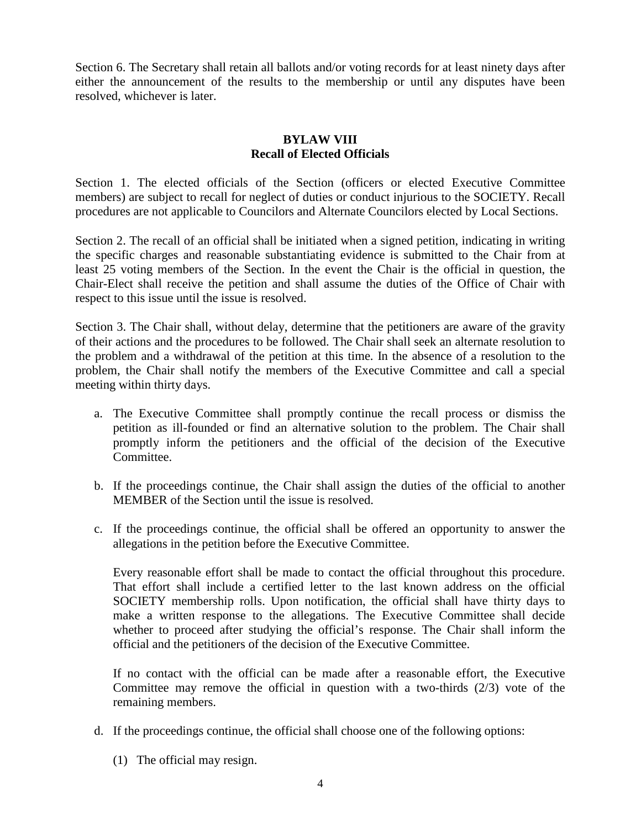Section 6. The Secretary shall retain all ballots and/or voting records for at least ninety days after either the announcement of the results to the membership or until any disputes have been resolved, whichever is later.

### **BYLAW VIII Recall of Elected Officials**

Section 1. The elected officials of the Section (officers or elected Executive Committee members) are subject to recall for neglect of duties or conduct injurious to the SOCIETY. Recall procedures are not applicable to Councilors and Alternate Councilors elected by Local Sections.

Section 2. The recall of an official shall be initiated when a signed petition, indicating in writing the specific charges and reasonable substantiating evidence is submitted to the Chair from at least 25 voting members of the Section. In the event the Chair is the official in question, the Chair-Elect shall receive the petition and shall assume the duties of the Office of Chair with respect to this issue until the issue is resolved.

Section 3. The Chair shall, without delay, determine that the petitioners are aware of the gravity of their actions and the procedures to be followed. The Chair shall seek an alternate resolution to the problem and a withdrawal of the petition at this time. In the absence of a resolution to the problem, the Chair shall notify the members of the Executive Committee and call a special meeting within thirty days.

- a. The Executive Committee shall promptly continue the recall process or dismiss the petition as ill-founded or find an alternative solution to the problem. The Chair shall promptly inform the petitioners and the official of the decision of the Executive Committee.
- b. If the proceedings continue, the Chair shall assign the duties of the official to another MEMBER of the Section until the issue is resolved.
- c. If the proceedings continue, the official shall be offered an opportunity to answer the allegations in the petition before the Executive Committee.

Every reasonable effort shall be made to contact the official throughout this procedure. That effort shall include a certified letter to the last known address on the official SOCIETY membership rolls. Upon notification, the official shall have thirty days to make a written response to the allegations. The Executive Committee shall decide whether to proceed after studying the official's response. The Chair shall inform the official and the petitioners of the decision of the Executive Committee.

If no contact with the official can be made after a reasonable effort, the Executive Committee may remove the official in question with a two-thirds (2/3) vote of the remaining members.

- d. If the proceedings continue, the official shall choose one of the following options:
	- (1) The official may resign.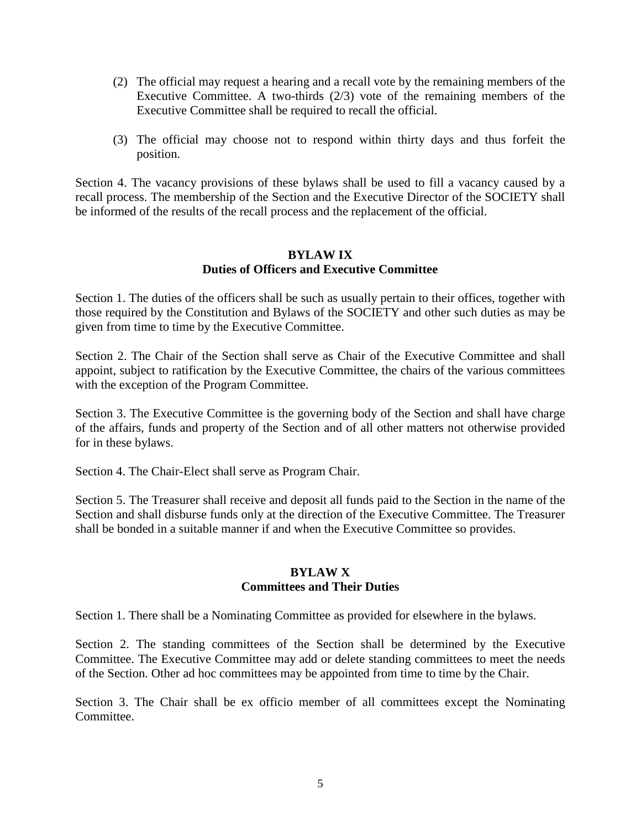- (2) The official may request a hearing and a recall vote by the remaining members of the Executive Committee. A two-thirds (2/3) vote of the remaining members of the Executive Committee shall be required to recall the official.
- (3) The official may choose not to respond within thirty days and thus forfeit the position.

Section 4. The vacancy provisions of these bylaws shall be used to fill a vacancy caused by a recall process. The membership of the Section and the Executive Director of the SOCIETY shall be informed of the results of the recall process and the replacement of the official.

### **BYLAW IX Duties of Officers and Executive Committee**

Section 1. The duties of the officers shall be such as usually pertain to their offices, together with those required by the Constitution and Bylaws of the SOCIETY and other such duties as may be given from time to time by the Executive Committee.

Section 2. The Chair of the Section shall serve as Chair of the Executive Committee and shall appoint, subject to ratification by the Executive Committee, the chairs of the various committees with the exception of the Program Committee.

Section 3. The Executive Committee is the governing body of the Section and shall have charge of the affairs, funds and property of the Section and of all other matters not otherwise provided for in these bylaws.

Section 4. The Chair-Elect shall serve as Program Chair.

Section 5. The Treasurer shall receive and deposit all funds paid to the Section in the name of the Section and shall disburse funds only at the direction of the Executive Committee. The Treasurer shall be bonded in a suitable manner if and when the Executive Committee so provides.

#### **BYLAW X Committees and Their Duties**

Section 1. There shall be a Nominating Committee as provided for elsewhere in the bylaws.

Section 2. The standing committees of the Section shall be determined by the Executive Committee. The Executive Committee may add or delete standing committees to meet the needs of the Section. Other ad hoc committees may be appointed from time to time by the Chair.

Section 3. The Chair shall be ex officio member of all committees except the Nominating Committee.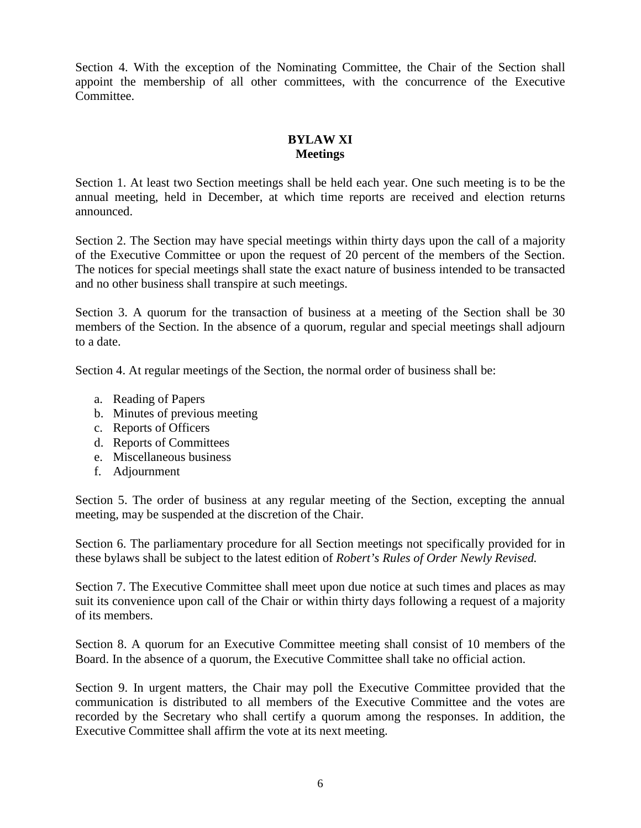Section 4. With the exception of the Nominating Committee, the Chair of the Section shall appoint the membership of all other committees, with the concurrence of the Executive Committee.

# **BYLAW XI Meetings**

Section 1. At least two Section meetings shall be held each year. One such meeting is to be the annual meeting, held in December, at which time reports are received and election returns announced.

Section 2. The Section may have special meetings within thirty days upon the call of a majority of the Executive Committee or upon the request of 20 percent of the members of the Section. The notices for special meetings shall state the exact nature of business intended to be transacted and no other business shall transpire at such meetings.

Section 3. A quorum for the transaction of business at a meeting of the Section shall be 30 members of the Section. In the absence of a quorum, regular and special meetings shall adjourn to a date.

Section 4. At regular meetings of the Section, the normal order of business shall be:

- a. Reading of Papers
- b. Minutes of previous meeting
- c. Reports of Officers
- d. Reports of Committees
- e. Miscellaneous business
- f. Adjournment

Section 5. The order of business at any regular meeting of the Section, excepting the annual meeting, may be suspended at the discretion of the Chair.

Section 6. The parliamentary procedure for all Section meetings not specifically provided for in these bylaws shall be subject to the latest edition of *Robert's Rules of Order Newly Revised.*

Section 7. The Executive Committee shall meet upon due notice at such times and places as may suit its convenience upon call of the Chair or within thirty days following a request of a majority of its members.

Section 8. A quorum for an Executive Committee meeting shall consist of 10 members of the Board. In the absence of a quorum, the Executive Committee shall take no official action.

Section 9. In urgent matters, the Chair may poll the Executive Committee provided that the communication is distributed to all members of the Executive Committee and the votes are recorded by the Secretary who shall certify a quorum among the responses. In addition, the Executive Committee shall affirm the vote at its next meeting.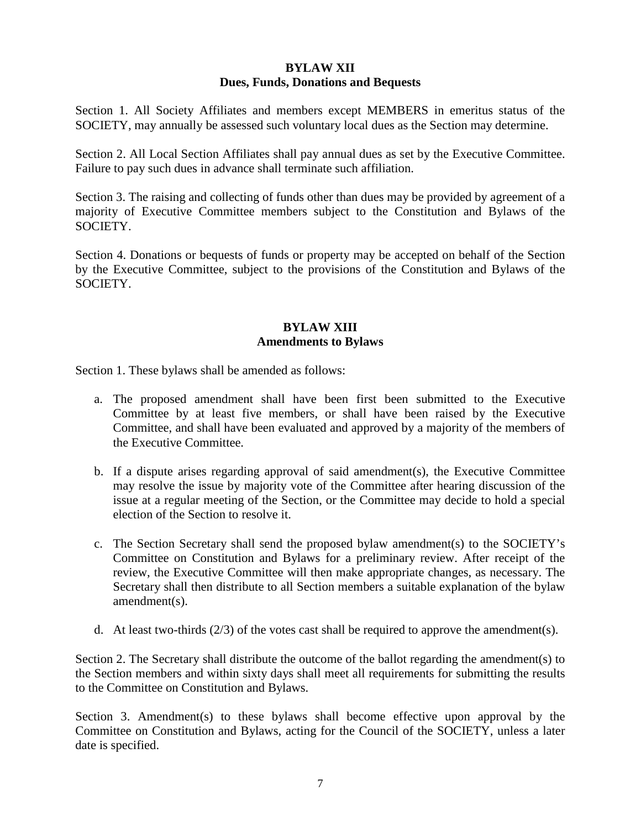## **BYLAW XII Dues, Funds, Donations and Bequests**

Section 1. All Society Affiliates and members except MEMBERS in emeritus status of the SOCIETY, may annually be assessed such voluntary local dues as the Section may determine.

Section 2. All Local Section Affiliates shall pay annual dues as set by the Executive Committee. Failure to pay such dues in advance shall terminate such affiliation.

Section 3. The raising and collecting of funds other than dues may be provided by agreement of a majority of Executive Committee members subject to the Constitution and Bylaws of the SOCIETY.

Section 4. Donations or bequests of funds or property may be accepted on behalf of the Section by the Executive Committee, subject to the provisions of the Constitution and Bylaws of the SOCIETY.

# **BYLAW XIII Amendments to Bylaws**

Section 1. These bylaws shall be amended as follows:

- a. The proposed amendment shall have been first been submitted to the Executive Committee by at least five members, or shall have been raised by the Executive Committee, and shall have been evaluated and approved by a majority of the members of the Executive Committee.
- b. If a dispute arises regarding approval of said amendment(s), the Executive Committee may resolve the issue by majority vote of the Committee after hearing discussion of the issue at a regular meeting of the Section, or the Committee may decide to hold a special election of the Section to resolve it.
- c. The Section Secretary shall send the proposed bylaw amendment(s) to the SOCIETY's Committee on Constitution and Bylaws for a preliminary review. After receipt of the review, the Executive Committee will then make appropriate changes, as necessary. The Secretary shall then distribute to all Section members a suitable explanation of the bylaw amendment(s).
- d. At least two-thirds  $(2/3)$  of the votes cast shall be required to approve the amendment(s).

Section 2. The Secretary shall distribute the outcome of the ballot regarding the amendment(s) to the Section members and within sixty days shall meet all requirements for submitting the results to the Committee on Constitution and Bylaws.

Section 3. Amendment(s) to these bylaws shall become effective upon approval by the Committee on Constitution and Bylaws, acting for the Council of the SOCIETY, unless a later date is specified.